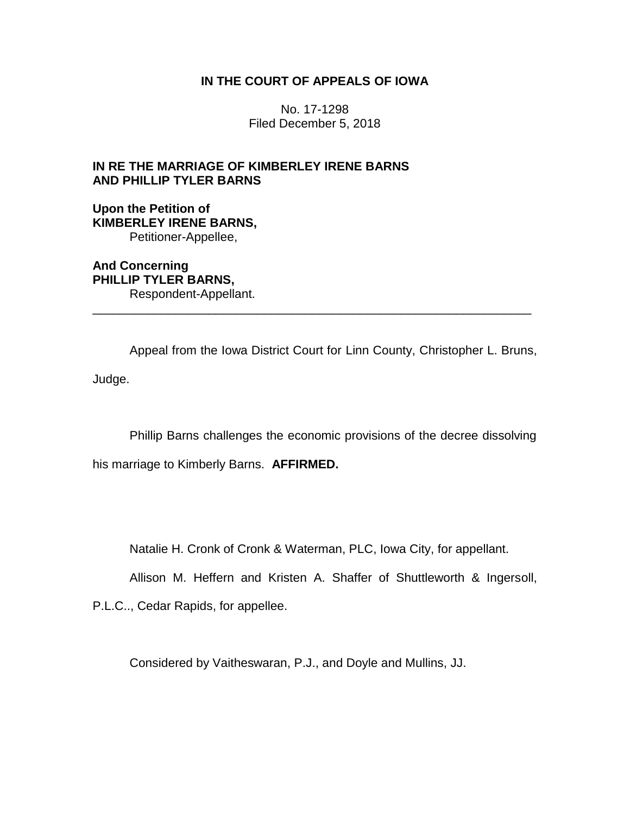## **IN THE COURT OF APPEALS OF IOWA**

No. 17-1298 Filed December 5, 2018

# **IN RE THE MARRIAGE OF KIMBERLEY IRENE BARNS AND PHILLIP TYLER BARNS**

## **Upon the Petition of KIMBERLEY IRENE BARNS,** Petitioner-Appellee,

**And Concerning PHILLIP TYLER BARNS,** Respondent-Appellant.

Appeal from the Iowa District Court for Linn County, Christopher L. Bruns, Judge.

\_\_\_\_\_\_\_\_\_\_\_\_\_\_\_\_\_\_\_\_\_\_\_\_\_\_\_\_\_\_\_\_\_\_\_\_\_\_\_\_\_\_\_\_\_\_\_\_\_\_\_\_\_\_\_\_\_\_\_\_\_\_\_\_

Phillip Barns challenges the economic provisions of the decree dissolving

his marriage to Kimberly Barns. **AFFIRMED.**

Natalie H. Cronk of Cronk & Waterman, PLC, Iowa City, for appellant.

Allison M. Heffern and Kristen A. Shaffer of Shuttleworth & Ingersoll,

P.L.C.., Cedar Rapids, for appellee.

Considered by Vaitheswaran, P.J., and Doyle and Mullins, JJ.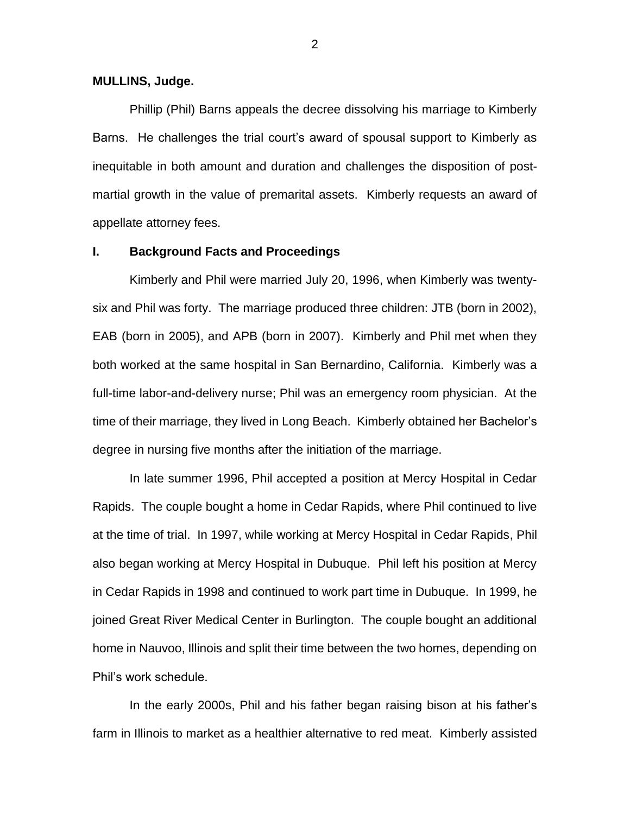#### **MULLINS, Judge.**

Phillip (Phil) Barns appeals the decree dissolving his marriage to Kimberly Barns. He challenges the trial court's award of spousal support to Kimberly as inequitable in both amount and duration and challenges the disposition of postmartial growth in the value of premarital assets. Kimberly requests an award of appellate attorney fees.

#### **I. Background Facts and Proceedings**

Kimberly and Phil were married July 20, 1996, when Kimberly was twentysix and Phil was forty. The marriage produced three children: JTB (born in 2002), EAB (born in 2005), and APB (born in 2007). Kimberly and Phil met when they both worked at the same hospital in San Bernardino, California. Kimberly was a full-time labor-and-delivery nurse; Phil was an emergency room physician. At the time of their marriage, they lived in Long Beach. Kimberly obtained her Bachelor's degree in nursing five months after the initiation of the marriage.

In late summer 1996, Phil accepted a position at Mercy Hospital in Cedar Rapids. The couple bought a home in Cedar Rapids, where Phil continued to live at the time of trial. In 1997, while working at Mercy Hospital in Cedar Rapids, Phil also began working at Mercy Hospital in Dubuque. Phil left his position at Mercy in Cedar Rapids in 1998 and continued to work part time in Dubuque. In 1999, he joined Great River Medical Center in Burlington. The couple bought an additional home in Nauvoo, Illinois and split their time between the two homes, depending on Phil's work schedule.

In the early 2000s, Phil and his father began raising bison at his father's farm in Illinois to market as a healthier alternative to red meat. Kimberly assisted

2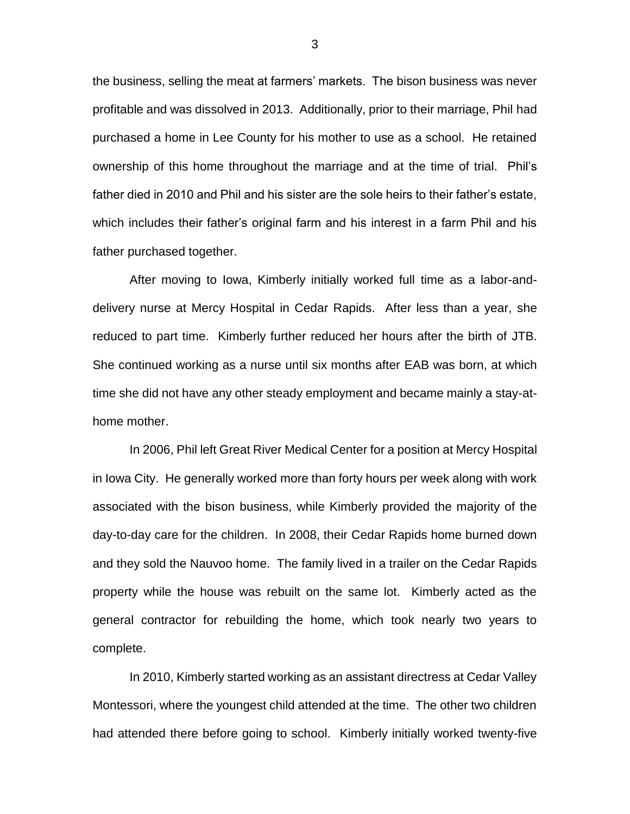the business, selling the meat at farmers' markets. The bison business was never profitable and was dissolved in 2013. Additionally, prior to their marriage, Phil had purchased a home in Lee County for his mother to use as a school. He retained ownership of this home throughout the marriage and at the time of trial. Phil's father died in 2010 and Phil and his sister are the sole heirs to their father's estate, which includes their father's original farm and his interest in a farm Phil and his father purchased together.

After moving to Iowa, Kimberly initially worked full time as a labor-anddelivery nurse at Mercy Hospital in Cedar Rapids. After less than a year, she reduced to part time. Kimberly further reduced her hours after the birth of JTB. She continued working as a nurse until six months after EAB was born, at which time she did not have any other steady employment and became mainly a stay-athome mother.

In 2006, Phil left Great River Medical Center for a position at Mercy Hospital in Iowa City. He generally worked more than forty hours per week along with work associated with the bison business, while Kimberly provided the majority of the day-to-day care for the children. In 2008, their Cedar Rapids home burned down and they sold the Nauvoo home. The family lived in a trailer on the Cedar Rapids property while the house was rebuilt on the same lot. Kimberly acted as the general contractor for rebuilding the home, which took nearly two years to complete.

In 2010, Kimberly started working as an assistant directress at Cedar Valley Montessori, where the youngest child attended at the time. The other two children had attended there before going to school. Kimberly initially worked twenty-five

3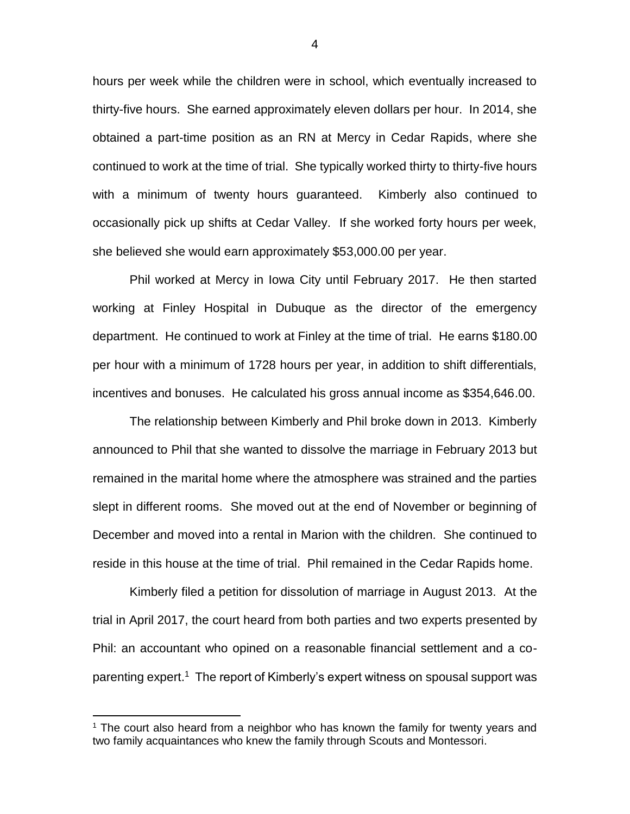hours per week while the children were in school, which eventually increased to thirty-five hours. She earned approximately eleven dollars per hour. In 2014, she obtained a part-time position as an RN at Mercy in Cedar Rapids, where she continued to work at the time of trial. She typically worked thirty to thirty-five hours with a minimum of twenty hours guaranteed. Kimberly also continued to occasionally pick up shifts at Cedar Valley. If she worked forty hours per week, she believed she would earn approximately \$53,000.00 per year.

Phil worked at Mercy in Iowa City until February 2017. He then started working at Finley Hospital in Dubuque as the director of the emergency department. He continued to work at Finley at the time of trial. He earns \$180.00 per hour with a minimum of 1728 hours per year, in addition to shift differentials, incentives and bonuses. He calculated his gross annual income as \$354,646.00.

The relationship between Kimberly and Phil broke down in 2013. Kimberly announced to Phil that she wanted to dissolve the marriage in February 2013 but remained in the marital home where the atmosphere was strained and the parties slept in different rooms. She moved out at the end of November or beginning of December and moved into a rental in Marion with the children. She continued to reside in this house at the time of trial. Phil remained in the Cedar Rapids home.

Kimberly filed a petition for dissolution of marriage in August 2013. At the trial in April 2017, the court heard from both parties and two experts presented by Phil: an accountant who opined on a reasonable financial settlement and a coparenting expert.<sup>1</sup> The report of Kimberly's expert witness on spousal support was

 $\overline{a}$ 

<sup>&</sup>lt;sup>1</sup> The court also heard from a neighbor who has known the family for twenty years and two family acquaintances who knew the family through Scouts and Montessori.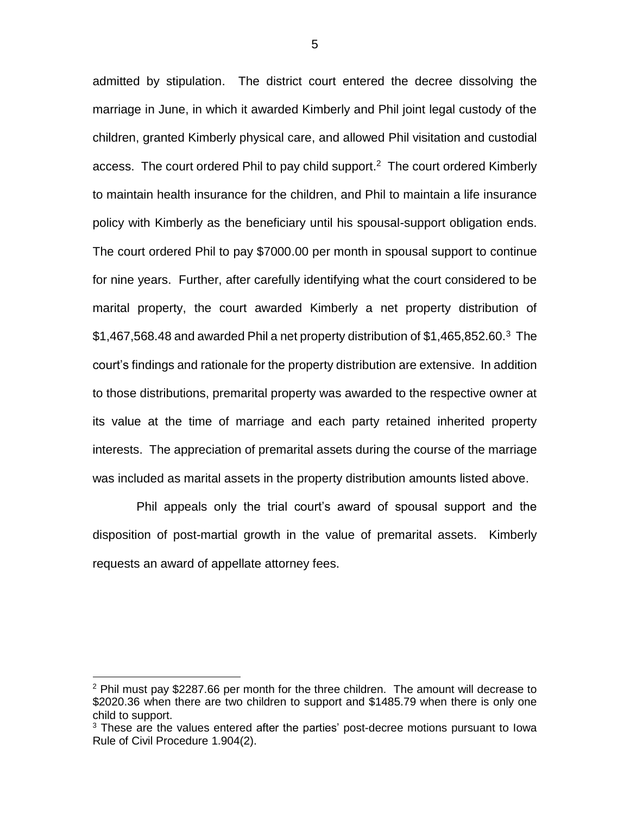admitted by stipulation. The district court entered the decree dissolving the marriage in June, in which it awarded Kimberly and Phil joint legal custody of the children, granted Kimberly physical care, and allowed Phil visitation and custodial access. The court ordered Phil to pay child support.<sup>2</sup> The court ordered Kimberly to maintain health insurance for the children, and Phil to maintain a life insurance policy with Kimberly as the beneficiary until his spousal-support obligation ends. The court ordered Phil to pay \$7000.00 per month in spousal support to continue for nine years. Further, after carefully identifying what the court considered to be marital property, the court awarded Kimberly a net property distribution of  $$1,467,568.48$  and awarded Phil a net property distribution of  $$1,465,852.60.^3$  The court's findings and rationale for the property distribution are extensive. In addition to those distributions, premarital property was awarded to the respective owner at its value at the time of marriage and each party retained inherited property interests. The appreciation of premarital assets during the course of the marriage was included as marital assets in the property distribution amounts listed above.

 Phil appeals only the trial court's award of spousal support and the disposition of post-martial growth in the value of premarital assets. Kimberly requests an award of appellate attorney fees.

 $\overline{a}$ 

 $2$  Phil must pay \$2287.66 per month for the three children. The amount will decrease to \$2020.36 when there are two children to support and \$1485.79 when there is only one child to support.

<sup>&</sup>lt;sup>3</sup> These are the values entered after the parties' post-decree motions pursuant to lowa Rule of Civil Procedure 1.904(2).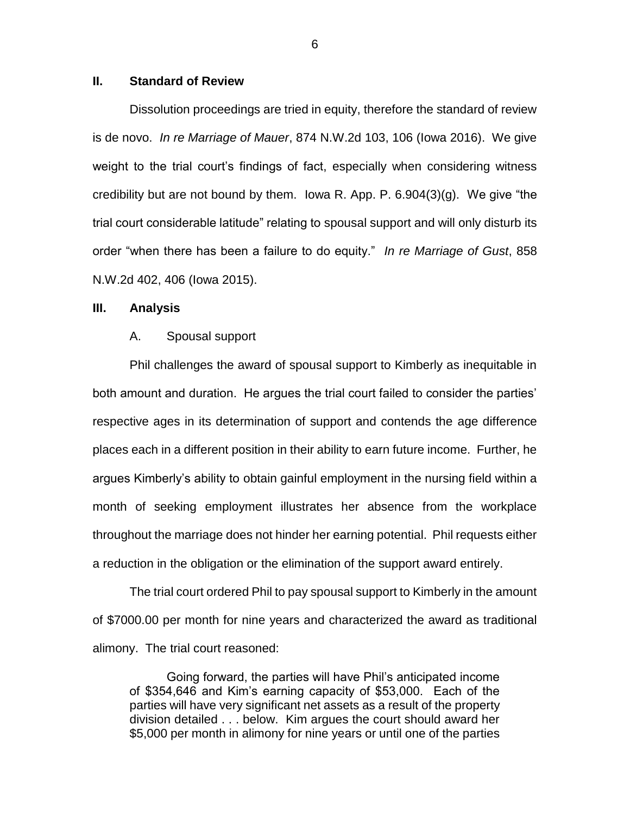### **II. Standard of Review**

Dissolution proceedings are tried in equity, therefore the standard of review is de novo. *In re Marriage of Mauer*, 874 N.W.2d 103, 106 (Iowa 2016). We give weight to the trial court's findings of fact, especially when considering witness credibility but are not bound by them. Iowa R. App. P.  $6.904(3)(q)$ . We give "the trial court considerable latitude" relating to spousal support and will only disturb its order "when there has been a failure to do equity." *In re Marriage of Gust*, 858 N.W.2d 402, 406 (Iowa 2015).

### **III. Analysis**

#### A. Spousal support

Phil challenges the award of spousal support to Kimberly as inequitable in both amount and duration. He argues the trial court failed to consider the parties' respective ages in its determination of support and contends the age difference places each in a different position in their ability to earn future income. Further, he argues Kimberly's ability to obtain gainful employment in the nursing field within a month of seeking employment illustrates her absence from the workplace throughout the marriage does not hinder her earning potential. Phil requests either a reduction in the obligation or the elimination of the support award entirely.

The trial court ordered Phil to pay spousal support to Kimberly in the amount of \$7000.00 per month for nine years and characterized the award as traditional alimony. The trial court reasoned:

Going forward, the parties will have Phil's anticipated income of \$354,646 and Kim's earning capacity of \$53,000. Each of the parties will have very significant net assets as a result of the property division detailed . . . below. Kim argues the court should award her \$5,000 per month in alimony for nine years or until one of the parties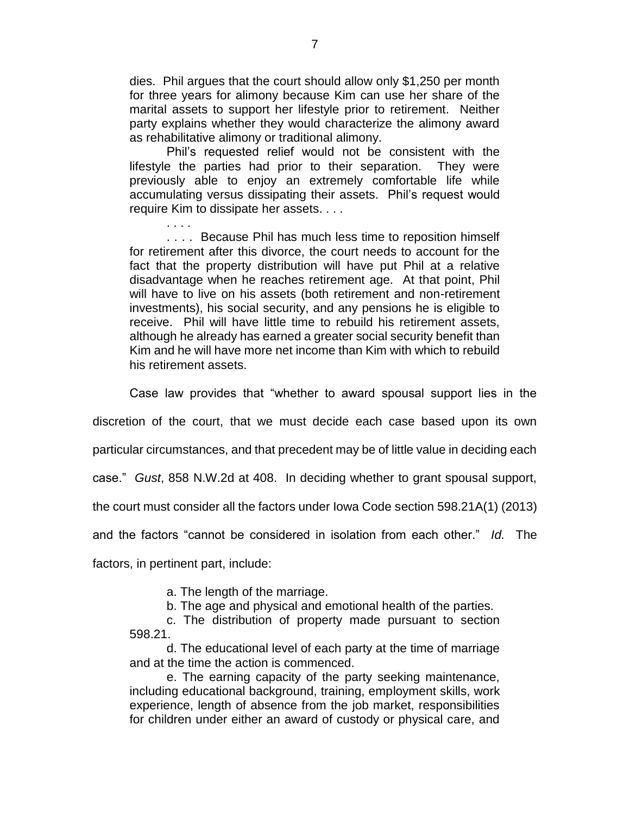dies. Phil argues that the court should allow only \$1,250 per month for three years for alimony because Kim can use her share of the marital assets to support her lifestyle prior to retirement. Neither party explains whether they would characterize the alimony award as rehabilitative alimony or traditional alimony.

Phil's requested relief would not be consistent with the lifestyle the parties had prior to their separation. They were previously able to enjoy an extremely comfortable life while accumulating versus dissipating their assets. Phil's request would require Kim to dissipate her assets. . . .

. . . . .... Because Phil has much less time to reposition himself for retirement after this divorce, the court needs to account for the fact that the property distribution will have put Phil at a relative disadvantage when he reaches retirement age. At that point, Phil will have to live on his assets (both retirement and non-retirement investments), his social security, and any pensions he is eligible to receive. Phil will have little time to rebuild his retirement assets, although he already has earned a greater social security benefit than Kim and he will have more net income than Kim with which to rebuild his retirement assets.

Case law provides that "whether to award spousal support lies in the

discretion of the court, that we must decide each case based upon its own

particular circumstances, and that precedent may be of little value in deciding each

case." *Gust*, 858 N.W.2d at 408. In deciding whether to grant spousal support,

the court must consider all the factors under Iowa Code section 598.21A(1) (2013)

and the factors "cannot be considered in isolation from each other." *Id.* The

factors, in pertinent part, include:

a. The length of the marriage.

b. The age and physical and emotional health of the parties.

c. The distribution of property made pursuant to section 598.21.

d. The educational level of each party at the time of marriage and at the time the action is commenced.

e. The earning capacity of the party seeking maintenance, including educational background, training, employment skills, work experience, length of absence from the job market, responsibilities for children under either an award of custody or physical care, and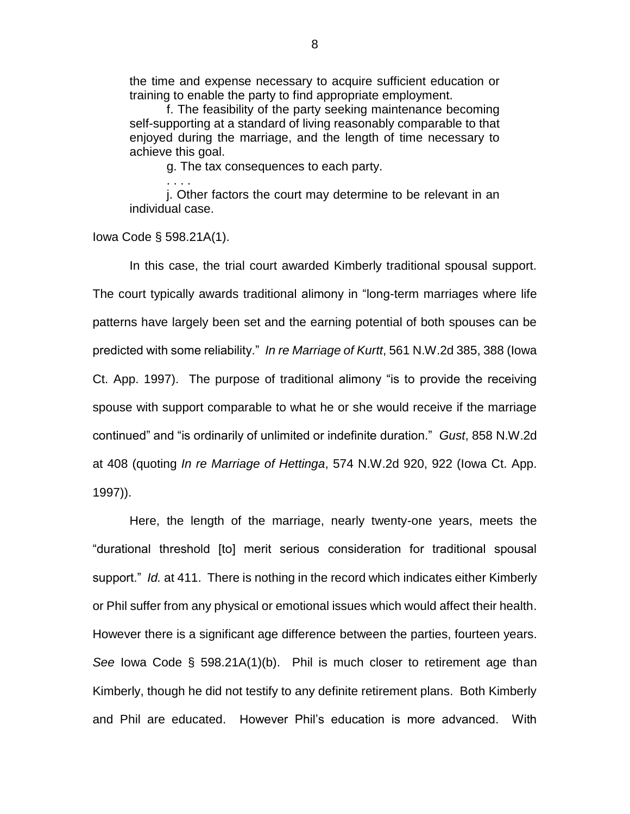the time and expense necessary to acquire sufficient education or training to enable the party to find appropriate employment.

f. The feasibility of the party seeking maintenance becoming self-supporting at a standard of living reasonably comparable to that enjoyed during the marriage, and the length of time necessary to achieve this goal.

g. The tax consequences to each party.

j. Other factors the court may determine to be relevant in an individual case.

Iowa Code § 598.21A(1).

. . . .

In this case, the trial court awarded Kimberly traditional spousal support. The court typically awards traditional alimony in "long-term marriages where life patterns have largely been set and the earning potential of both spouses can be predicted with some reliability." *In re Marriage of Kurtt*, 561 N.W.2d 385, 388 (Iowa Ct. App. 1997). The purpose of traditional alimony "is to provide the receiving spouse with support comparable to what he or she would receive if the marriage continued" and "is ordinarily of unlimited or indefinite duration." *Gust*, 858 N.W.2d at 408 (quoting *In re Marriage of Hettinga*, 574 N.W.2d 920, 922 (Iowa Ct. App. 1997)).

Here, the length of the marriage, nearly twenty-one years, meets the "durational threshold [to] merit serious consideration for traditional spousal support." *Id.* at 411. There is nothing in the record which indicates either Kimberly or Phil suffer from any physical or emotional issues which would affect their health. However there is a significant age difference between the parties, fourteen years. *See* Iowa Code § 598.21A(1)(b). Phil is much closer to retirement age than Kimberly, though he did not testify to any definite retirement plans. Both Kimberly and Phil are educated. However Phil's education is more advanced. With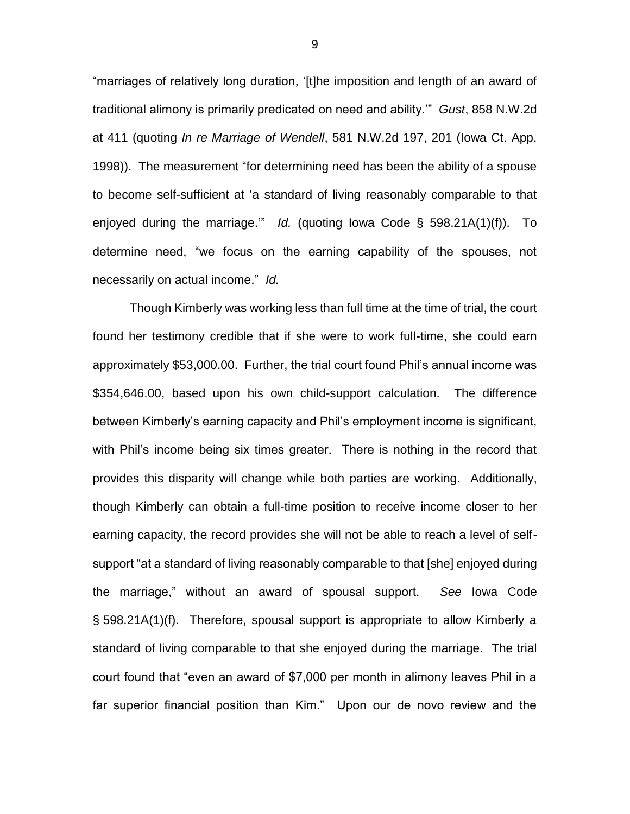"marriages of relatively long duration, '[t]he imposition and length of an award of traditional alimony is primarily predicated on need and ability.'" *Gust*, 858 N.W.2d at 411 (quoting *In re Marriage of Wendell*, 581 N.W.2d 197, 201 (Iowa Ct. App. 1998)). The measurement "for determining need has been the ability of a spouse to become self-sufficient at 'a standard of living reasonably comparable to that enjoyed during the marriage.'" *Id.* (quoting Iowa Code § 598.21A(1)(f)). To determine need, "we focus on the earning capability of the spouses, not necessarily on actual income." *Id.*

Though Kimberly was working less than full time at the time of trial, the court found her testimony credible that if she were to work full-time, she could earn approximately \$53,000.00. Further, the trial court found Phil's annual income was \$354,646.00, based upon his own child-support calculation. The difference between Kimberly's earning capacity and Phil's employment income is significant, with Phil's income being six times greater. There is nothing in the record that provides this disparity will change while both parties are working. Additionally, though Kimberly can obtain a full-time position to receive income closer to her earning capacity, the record provides she will not be able to reach a level of selfsupport "at a standard of living reasonably comparable to that [she] enjoyed during the marriage," without an award of spousal support. *See* Iowa Code § 598.21A(1)(f). Therefore, spousal support is appropriate to allow Kimberly a standard of living comparable to that she enjoyed during the marriage. The trial court found that "even an award of \$7,000 per month in alimony leaves Phil in a far superior financial position than Kim." Upon our de novo review and the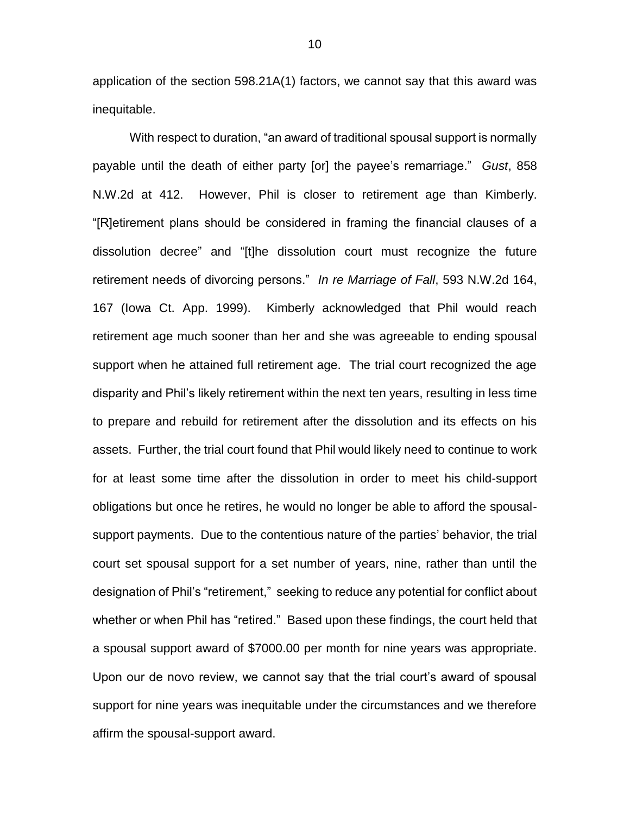application of the section 598.21A(1) factors, we cannot say that this award was inequitable.

With respect to duration, "an award of traditional spousal support is normally payable until the death of either party [or] the payee's remarriage." *Gust*, 858 N.W.2d at 412. However, Phil is closer to retirement age than Kimberly. "[R]etirement plans should be considered in framing the financial clauses of a dissolution decree" and "[t]he dissolution court must recognize the future retirement needs of divorcing persons." *In re Marriage of Fall*, 593 N.W.2d 164, 167 (Iowa Ct. App. 1999). Kimberly acknowledged that Phil would reach retirement age much sooner than her and she was agreeable to ending spousal support when he attained full retirement age. The trial court recognized the age disparity and Phil's likely retirement within the next ten years, resulting in less time to prepare and rebuild for retirement after the dissolution and its effects on his assets. Further, the trial court found that Phil would likely need to continue to work for at least some time after the dissolution in order to meet his child-support obligations but once he retires, he would no longer be able to afford the spousalsupport payments. Due to the contentious nature of the parties' behavior, the trial court set spousal support for a set number of years, nine, rather than until the designation of Phil's "retirement," seeking to reduce any potential for conflict about whether or when Phil has "retired." Based upon these findings, the court held that a spousal support award of \$7000.00 per month for nine years was appropriate. Upon our de novo review, we cannot say that the trial court's award of spousal support for nine years was inequitable under the circumstances and we therefore affirm the spousal-support award.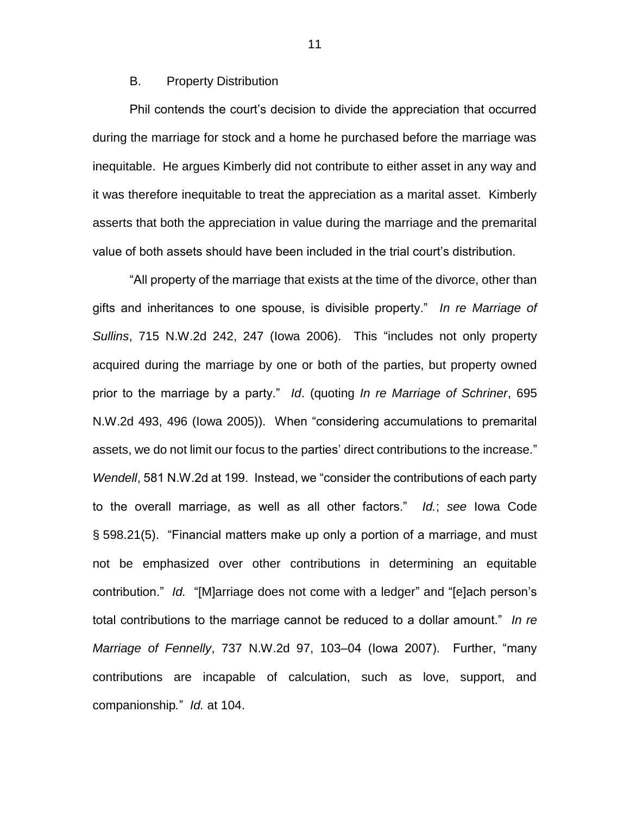### B. Property Distribution

Phil contends the court's decision to divide the appreciation that occurred during the marriage for stock and a home he purchased before the marriage was inequitable. He argues Kimberly did not contribute to either asset in any way and it was therefore inequitable to treat the appreciation as a marital asset. Kimberly asserts that both the appreciation in value during the marriage and the premarital value of both assets should have been included in the trial court's distribution.

"All property of the marriage that exists at the time of the divorce, other than gifts and inheritances to one spouse, is divisible property." *In re Marriage of Sullins*, 715 N.W.2d 242, 247 (Iowa 2006). This "includes not only property acquired during the marriage by one or both of the parties, but property owned prior to the marriage by a party." *Id*. (quoting *In re Marriage of Schriner*, 695 N.W.2d 493, 496 (Iowa 2005)). When "considering accumulations to premarital assets, we do not limit our focus to the parties' direct contributions to the increase." *Wendell*, 581 N.W.2d at 199. Instead, we "consider the contributions of each party to the overall marriage, as well as all other factors." *Id.*; *see* Iowa Code § 598.21(5). "Financial matters make up only a portion of a marriage, and must not be emphasized over other contributions in determining an equitable contribution." *Id.* "[M]arriage does not come with a ledger" and "[e]ach person's total contributions to the marriage cannot be reduced to a dollar amount." *In re Marriage of Fennelly*, 737 N.W.2d 97, 103–04 (Iowa 2007). Further, "many contributions are incapable of calculation, such as love, support, and companionship*.*" *Id.* at 104.

11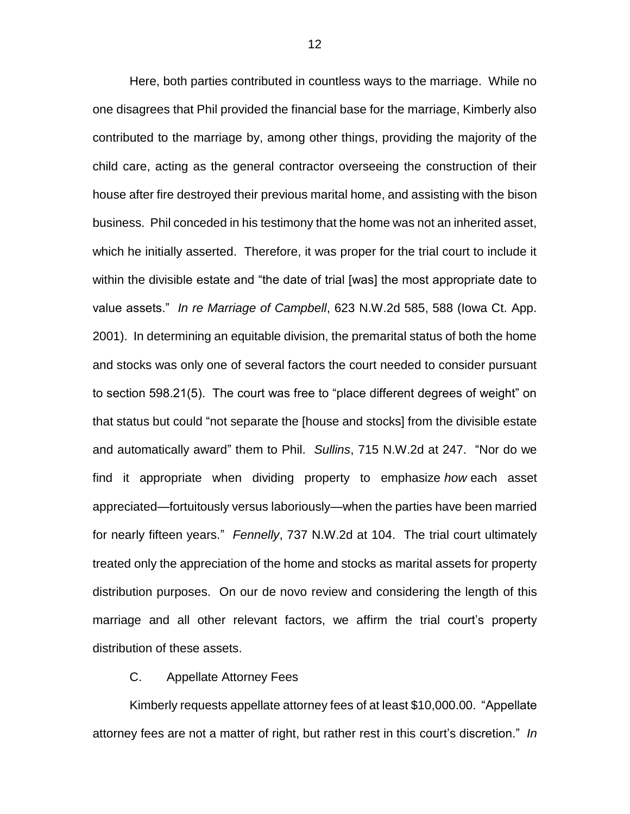Here, both parties contributed in countless ways to the marriage. While no one disagrees that Phil provided the financial base for the marriage, Kimberly also contributed to the marriage by, among other things, providing the majority of the child care, acting as the general contractor overseeing the construction of their house after fire destroyed their previous marital home, and assisting with the bison business. Phil conceded in his testimony that the home was not an inherited asset, which he initially asserted. Therefore, it was proper for the trial court to include it within the divisible estate and "the date of trial [was] the most appropriate date to value assets." *In re Marriage of Campbell*, 623 N.W.2d 585, 588 (Iowa Ct. App. 2001). In determining an equitable division, the premarital status of both the home and stocks was only one of several factors the court needed to consider pursuant to section 598.21(5). The court was free to "place different degrees of weight" on that status but could "not separate the [house and stocks] from the divisible estate and automatically award" them to Phil. *Sullins*, 715 N.W.2d at 247. "Nor do we find it appropriate when dividing property to emphasize *how* each asset appreciated—fortuitously versus laboriously—when the parties have been married for nearly fifteen years." *Fennelly*, 737 N.W.2d at 104. The trial court ultimately treated only the appreciation of the home and stocks as marital assets for property distribution purposes. On our de novo review and considering the length of this marriage and all other relevant factors, we affirm the trial court's property distribution of these assets.

### C. Appellate Attorney Fees

Kimberly requests appellate attorney fees of at least \$10,000.00. "Appellate attorney fees are not a matter of right, but rather rest in this court's discretion." *In*